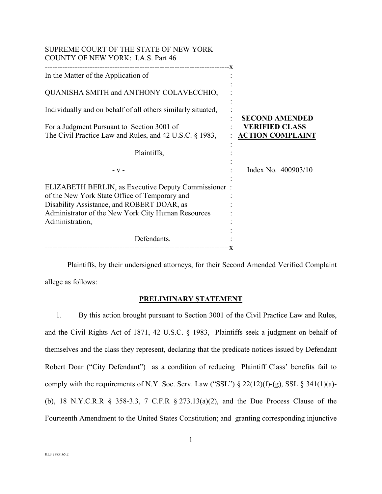| SUPREME COURT OF THE STATE OF NEW YORK<br>COUNTY OF NEW YORK: I.A.S. Part 46                                                                                                                                                |                                                                           |
|-----------------------------------------------------------------------------------------------------------------------------------------------------------------------------------------------------------------------------|---------------------------------------------------------------------------|
| In the Matter of the Application of                                                                                                                                                                                         |                                                                           |
| QUANISHA SMITH and ANTHONY COLAVECCHIO,                                                                                                                                                                                     |                                                                           |
| Individually and on behalf of all others similarly situated,                                                                                                                                                                |                                                                           |
| For a Judgment Pursuant to Section 3001 of<br>The Civil Practice Law and Rules, and 42 U.S.C. § 1983,                                                                                                                       | <b>SECOND AMENDED</b><br><b>VERIFIED CLASS</b><br><b>ACTION COMPLAINT</b> |
| Plaintiffs,                                                                                                                                                                                                                 |                                                                           |
| $-V -$                                                                                                                                                                                                                      | Index No. 400903/10                                                       |
| ELIZABETH BERLIN, as Executive Deputy Commissioner:<br>of the New York State Office of Temporary and<br>Disability Assistance, and ROBERT DOAR, as<br>Administrator of the New York City Human Resources<br>Administration, |                                                                           |
| Defendants.                                                                                                                                                                                                                 |                                                                           |

Plaintiffs, by their undersigned attorneys, for their Second Amended Verified Complaint allege as follows:

# **PRELIMINARY STATEMENT**

1. By this action brought pursuant to Section 3001 of the Civil Practice Law and Rules, and the Civil Rights Act of 1871, 42 U.S.C. § 1983, Plaintiffs seek a judgment on behalf of themselves and the class they represent, declaring that the predicate notices issued by Defendant Robert Doar ("City Defendant") as a condition of reducing Plaintiff Class' benefits fail to comply with the requirements of N.Y. Soc. Serv. Law ("SSL")  $\S 22(12)(f)-(g)$ , SSL  $\S 341(1)(a)$ -(b), 18 N.Y.C.R.R § 358-3.3, 7 C.F.R § 273.13(a)(2), and the Due Process Clause of the Fourteenth Amendment to the United States Constitution; and granting corresponding injunctive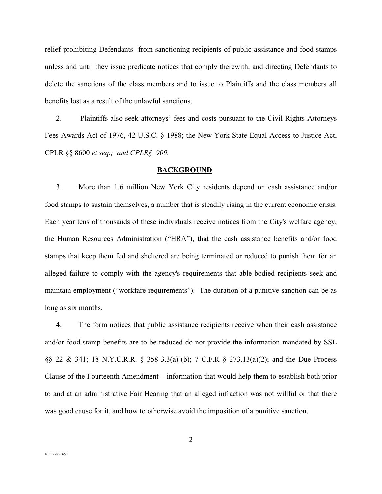relief prohibiting Defendants from sanctioning recipients of public assistance and food stamps unless and until they issue predicate notices that comply therewith, and directing Defendants to delete the sanctions of the class members and to issue to Plaintiffs and the class members all benefits lost as a result of the unlawful sanctions.

2. Plaintiffs also seek attorneys' fees and costs pursuant to the Civil Rights Attorneys Fees Awards Act of 1976, 42 U.S.C. § 1988; the New York State Equal Access to Justice Act, CPLR §§ 8600 *et seq.; and CPLR§ 909.* 

#### **BACKGROUND**

3. More than 1.6 million New York City residents depend on cash assistance and/or food stamps to sustain themselves, a number that is steadily rising in the current economic crisis. Each year tens of thousands of these individuals receive notices from the City's welfare agency, the Human Resources Administration ("HRA"), that the cash assistance benefits and/or food stamps that keep them fed and sheltered are being terminated or reduced to punish them for an alleged failure to comply with the agency's requirements that able-bodied recipients seek and maintain employment ("workfare requirements"). The duration of a punitive sanction can be as long as six months.

4. The form notices that public assistance recipients receive when their cash assistance and/or food stamp benefits are to be reduced do not provide the information mandated by SSL §§ 22 & 341; 18 N.Y.C.R.R. § 358-3.3(a)-(b); 7 C.F.R § 273.13(a)(2); and the Due Process Clause of the Fourteenth Amendment – information that would help them to establish both prior to and at an administrative Fair Hearing that an alleged infraction was not willful or that there was good cause for it, and how to otherwise avoid the imposition of a punitive sanction.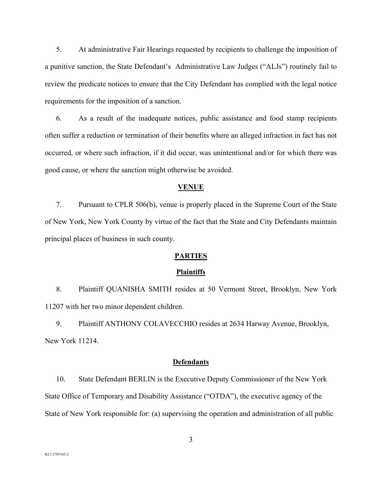5. At administrative Fair Hearings requested by recipients to challenge the imposition of a punitive sanction, the State Defendant's Administrative Law Judges ("ALJs") routinely fail to review the predicate notices to ensure that the City Defendant has complied with the legal notice requirements for the imposition of a sanction.

6. As a result of the inadequate notices, public assistance and food stamp recipients often suffer a reduction or termination of their benefits where an alleged infraction in fact has not occurred, or where such infraction, if it did occur, was unintentional and/or for which there was good cause, or where the sanction might otherwise be avoided.

### **VENUE**

7. Pursuant to CPLR 506(b), venue is properly placed in the Supreme Court of the State of New York, New York County by virtue of the fact that the State and City Defendants maintain principal places of business in such county.

#### **PARTIES**

#### **Plaintiffs**

8. Plaintiff QUANISHA SMITH resides at 50 Vermont Street, Brooklyn, New York 11207 with her two minor dependent children.

9. Plaintiff ANTHONY COLAVECCHIO resides at 2634 Harway Avenue, Brooklyn, New York 11214.

#### **Defendants**

10. State Defendant BERLIN is the Executive Deputy Commissioner of the New York State Office of Temporary and Disability Assistance ("OTDA"), the executive agency of the State of New York responsible for: (a) supervising the operation and administration of all public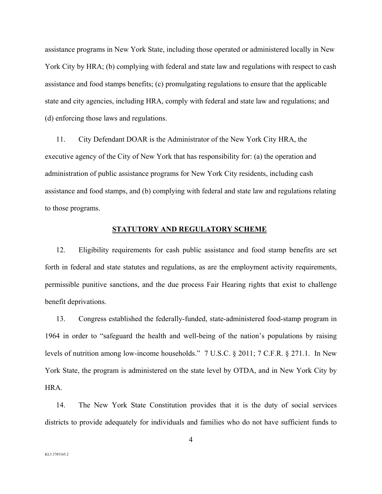assistance programs in New York State, including those operated or administered locally in New York City by HRA; (b) complying with federal and state law and regulations with respect to cash assistance and food stamps benefits; (c) promulgating regulations to ensure that the applicable state and city agencies, including HRA, comply with federal and state law and regulations; and (d) enforcing those laws and regulations.

11. City Defendant DOAR is the Administrator of the New York City HRA, the executive agency of the City of New York that has responsibility for: (a) the operation and administration of public assistance programs for New York City residents, including cash assistance and food stamps, and (b) complying with federal and state law and regulations relating to those programs.

#### **STATUTORY AND REGULATORY SCHEME**

12. Eligibility requirements for cash public assistance and food stamp benefits are set forth in federal and state statutes and regulations, as are the employment activity requirements, permissible punitive sanctions, and the due process Fair Hearing rights that exist to challenge benefit deprivations.

13. Congress established the federally-funded, state-administered food-stamp program in 1964 in order to "safeguard the health and well-being of the nation's populations by raising levels of nutrition among low-income households." 7 U.S.C. § 2011; 7 C.F.R. § 271.1. In New York State, the program is administered on the state level by OTDA, and in New York City by HRA.

14. The New York State Constitution provides that it is the duty of social services districts to provide adequately for individuals and families who do not have sufficient funds to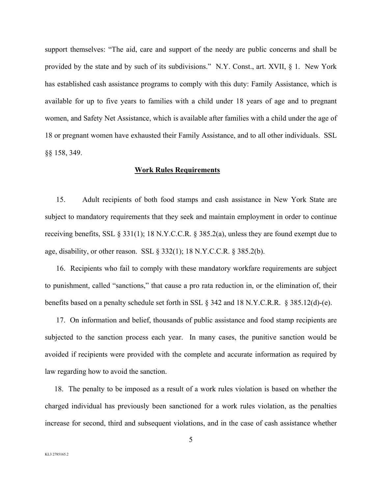support themselves: "The aid, care and support of the needy are public concerns and shall be provided by the state and by such of its subdivisions." N.Y. Const., art. XVII, § 1. New York has established cash assistance programs to comply with this duty: Family Assistance, which is available for up to five years to families with a child under 18 years of age and to pregnant women, and Safety Net Assistance, which is available after families with a child under the age of 18 or pregnant women have exhausted their Family Assistance, and to all other individuals. SSL §§ 158, 349.

### **Work Rules Requirements**

15. Adult recipients of both food stamps and cash assistance in New York State are subject to mandatory requirements that they seek and maintain employment in order to continue receiving benefits, SSL § 331(1); 18 N.Y.C.C.R. § 385.2(a), unless they are found exempt due to age, disability, or other reason. SSL § 332(1); 18 N.Y.C.C.R. § 385.2(b).

 16. Recipients who fail to comply with these mandatory workfare requirements are subject to punishment, called "sanctions," that cause a pro rata reduction in, or the elimination of, their benefits based on a penalty schedule set forth in SSL § 342 and 18 N.Y.C.R.R. § 385.12(d)-(e).

 17. On information and belief, thousands of public assistance and food stamp recipients are subjected to the sanction process each year. In many cases, the punitive sanction would be avoided if recipients were provided with the complete and accurate information as required by law regarding how to avoid the sanction.

 18. The penalty to be imposed as a result of a work rules violation is based on whether the charged individual has previously been sanctioned for a work rules violation, as the penalties increase for second, third and subsequent violations, and in the case of cash assistance whether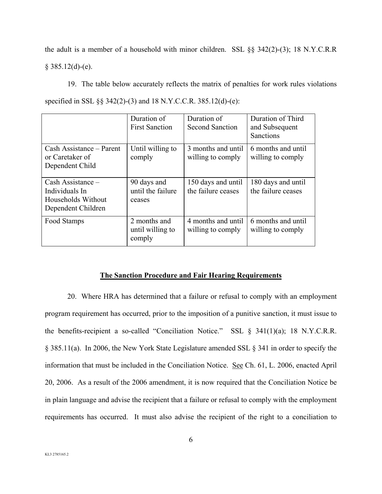the adult is a member of a household with minor children. SSL §§ 342(2)-(3); 18 N.Y.C.R.R  $§$  385.12(d)-(e).

 19. The table below accurately reflects the matrix of penalties for work rules violations specified in SSL §§ 342(2)-(3) and 18 N.Y.C.C.R. 385.12(d)-(e):

|                                                                                 | Duration of<br><b>First Sanction</b>       | Duration of<br><b>Second Sanction</b>    | Duration of Third<br>and Subsequent<br><b>Sanctions</b> |
|---------------------------------------------------------------------------------|--------------------------------------------|------------------------------------------|---------------------------------------------------------|
| Cash Assistance – Parent<br>or Caretaker of<br>Dependent Child                  | Until willing to<br>comply                 | 3 months and until<br>willing to comply  | 6 months and until<br>willing to comply                 |
| Cash Assistance –<br>Individuals In<br>Households Without<br>Dependent Children | 90 days and<br>until the failure<br>ceases | 150 days and until<br>the failure ceases | 180 days and until<br>the failure ceases                |
| Food Stamps                                                                     | 2 months and<br>until willing to<br>comply | 4 months and until<br>willing to comply  | 6 months and until<br>willing to comply                 |

### **The Sanction Procedure and Fair Hearing Requirements**

 20. Where HRA has determined that a failure or refusal to comply with an employment program requirement has occurred, prior to the imposition of a punitive sanction, it must issue to the benefits-recipient a so-called "Conciliation Notice." SSL § 341(1)(a); 18 N.Y.C.R.R. § 385.11(a). In 2006, the New York State Legislature amended SSL § 341 in order to specify the information that must be included in the Conciliation Notice. See Ch. 61, L. 2006, enacted April 20, 2006. As a result of the 2006 amendment, it is now required that the Conciliation Notice be in plain language and advise the recipient that a failure or refusal to comply with the employment requirements has occurred. It must also advise the recipient of the right to a conciliation to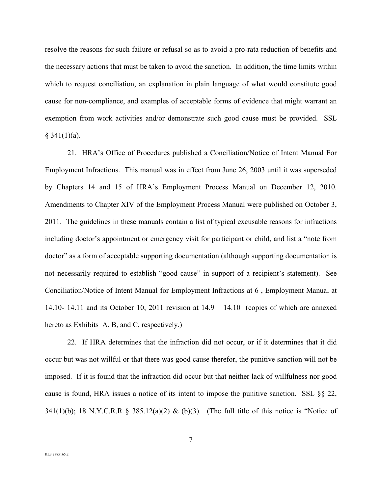resolve the reasons for such failure or refusal so as to avoid a pro-rata reduction of benefits and the necessary actions that must be taken to avoid the sanction. In addition, the time limits within which to request conciliation, an explanation in plain language of what would constitute good cause for non-compliance, and examples of acceptable forms of evidence that might warrant an exemption from work activities and/or demonstrate such good cause must be provided. SSL  $§$  341(1)(a).

 21. HRA's Office of Procedures published a Conciliation/Notice of Intent Manual For Employment Infractions. This manual was in effect from June 26, 2003 until it was superseded by Chapters 14 and 15 of HRA's Employment Process Manual on December 12, 2010. Amendments to Chapter XIV of the Employment Process Manual were published on October 3, 2011. The guidelines in these manuals contain a list of typical excusable reasons for infractions including doctor's appointment or emergency visit for participant or child, and list a "note from doctor" as a form of acceptable supporting documentation (although supporting documentation is not necessarily required to establish "good cause" in support of a recipient's statement). See Conciliation/Notice of Intent Manual for Employment Infractions at 6 , Employment Manual at 14.10- 14.11 and its October 10, 2011 revision at 14.9 – 14.10 (copies of which are annexed hereto as Exhibits A, B, and C, respectively.)

 22. If HRA determines that the infraction did not occur, or if it determines that it did occur but was not willful or that there was good cause therefor, the punitive sanction will not be imposed. If it is found that the infraction did occur but that neither lack of willfulness nor good cause is found, HRA issues a notice of its intent to impose the punitive sanction. SSL §§ 22, 341(1)(b); 18 N.Y.C.R.R § 385.12(a)(2) & (b)(3). (The full title of this notice is "Notice of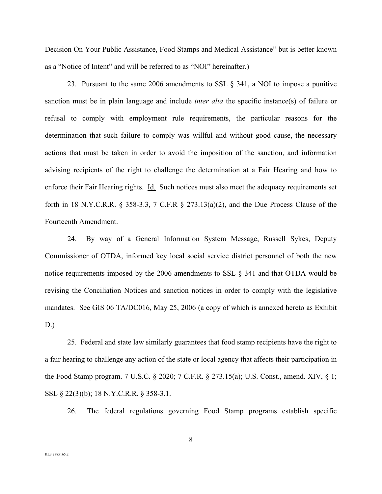Decision On Your Public Assistance, Food Stamps and Medical Assistance" but is better known as a "Notice of Intent" and will be referred to as "NOI" hereinafter.)

 23. Pursuant to the same 2006 amendments to SSL § 341, a NOI to impose a punitive sanction must be in plain language and include *inter alia* the specific instance(s) of failure or refusal to comply with employment rule requirements, the particular reasons for the determination that such failure to comply was willful and without good cause, the necessary actions that must be taken in order to avoid the imposition of the sanction, and information advising recipients of the right to challenge the determination at a Fair Hearing and how to enforce their Fair Hearing rights. Id. Such notices must also meet the adequacy requirements set forth in 18 N.Y.C.R.R. § 358-3.3, 7 C.F.R § 273.13(a)(2), and the Due Process Clause of the Fourteenth Amendment.

 24. By way of a General Information System Message, Russell Sykes, Deputy Commissioner of OTDA, informed key local social service district personnel of both the new notice requirements imposed by the 2006 amendments to SSL § 341 and that OTDA would be revising the Conciliation Notices and sanction notices in order to comply with the legislative mandates. See GIS 06 TA/DC016, May 25, 2006 (a copy of which is annexed hereto as Exhibit D.)

 25. Federal and state law similarly guarantees that food stamp recipients have the right to a fair hearing to challenge any action of the state or local agency that affects their participation in the Food Stamp program. 7 U.S.C. § 2020; 7 C.F.R. § 273.15(a); U.S. Const., amend. XIV, § 1; SSL § 22(3)(b); 18 N.Y.C.R.R. § 358-3.1.

26. The federal regulations governing Food Stamp programs establish specific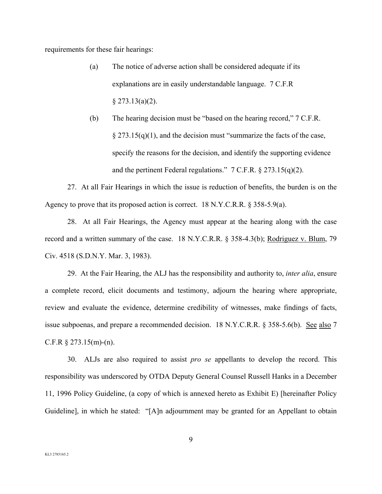requirements for these fair hearings:

- (a) The notice of adverse action shall be considered adequate if its explanations are in easily understandable language. 7 C.F.R  $§$  273.13(a)(2).
- (b) The hearing decision must be "based on the hearing record," 7 C.F.R.  $\S 273.15(q)(1)$ , and the decision must "summarize the facts of the case, specify the reasons for the decision, and identify the supporting evidence and the pertinent Federal regulations." 7 C.F.R. § 273.15(q)(2).

 27. At all Fair Hearings in which the issue is reduction of benefits, the burden is on the Agency to prove that its proposed action is correct. 18 N.Y.C.R.R. § 358-5.9(a).

 28. At all Fair Hearings, the Agency must appear at the hearing along with the case record and a written summary of the case. 18 N.Y.C.R.R. § 358-4.3(b); Rodriguez v. Blum, 79 Civ. 4518 (S.D.N.Y. Mar. 3, 1983).

 29. At the Fair Hearing, the ALJ has the responsibility and authority to, *inter alia*, ensure a complete record, elicit documents and testimony, adjourn the hearing where appropriate, review and evaluate the evidence, determine credibility of witnesses, make findings of facts, issue subpoenas, and prepare a recommended decision. 18 N.Y.C.R.R. § 358-5.6(b). See also 7 C.F.R  $\S 273.15(m)-(n)$ .

 30. ALJs are also required to assist *pro se* appellants to develop the record. This responsibility was underscored by OTDA Deputy General Counsel Russell Hanks in a December 11, 1996 Policy Guideline, (a copy of which is annexed hereto as Exhibit E) [hereinafter Policy Guideline], in which he stated: "[A]n adjournment may be granted for an Appellant to obtain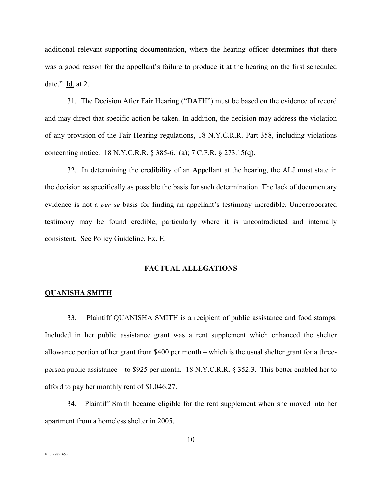additional relevant supporting documentation, where the hearing officer determines that there was a good reason for the appellant's failure to produce it at the hearing on the first scheduled date." Id. at 2.

 31. The Decision After Fair Hearing ("DAFH") must be based on the evidence of record and may direct that specific action be taken. In addition, the decision may address the violation of any provision of the Fair Hearing regulations, 18 N.Y.C.R.R. Part 358, including violations concerning notice. 18 N.Y.C.R.R. § 385-6.1(a); 7 C.F.R. § 273.15(q).

 32. In determining the credibility of an Appellant at the hearing, the ALJ must state in the decision as specifically as possible the basis for such determination. The lack of documentary evidence is not a *per se* basis for finding an appellant's testimony incredible. Uncorroborated testimony may be found credible, particularly where it is uncontradicted and internally consistent. See Policy Guideline, Ex. E.

### **FACTUAL ALLEGATIONS**

### **QUANISHA SMITH**

 33. Plaintiff QUANISHA SMITH is a recipient of public assistance and food stamps. Included in her public assistance grant was a rent supplement which enhanced the shelter allowance portion of her grant from \$400 per month – which is the usual shelter grant for a threeperson public assistance – to \$925 per month. 18 N.Y.C.R.R. § 352.3. This better enabled her to afford to pay her monthly rent of \$1,046.27.

 34. Plaintiff Smith became eligible for the rent supplement when she moved into her apartment from a homeless shelter in 2005.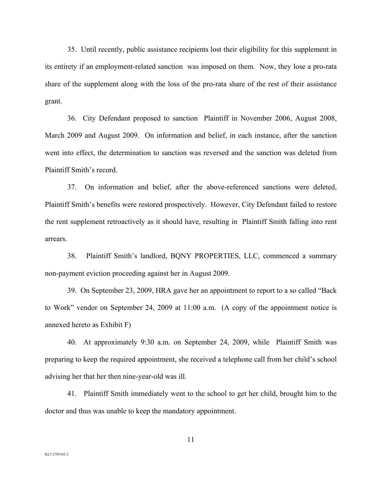35. Until recently, public assistance recipients lost their eligibility for this supplement in its entirety if an employment-related sanction was imposed on them. Now, they lose a pro-rata share of the supplement along with the loss of the pro-rata share of the rest of their assistance grant.

 36. City Defendant proposed to sanction Plaintiff in November 2006, August 2008, March 2009 and August 2009. On information and belief, in each instance, after the sanction went into effect, the determination to sanction was reversed and the sanction was deleted from Plaintiff Smith's record.

 37. On information and belief, after the above-referenced sanctions were deleted, Plaintiff Smith's benefits were restored prospectively. However, City Defendant failed to restore the rent supplement retroactively as it should have, resulting in Plaintiff Smith falling into rent arrears.

 38. Plaintiff Smith's landlord, BQNY PROPERTIES, LLC, commenced a summary non-payment eviction proceeding against her in August 2009.

 39. On September 23, 2009, HRA gave her an appointment to report to a so called "Back to Work" vendor on September 24, 2009 at 11:00 a.m. (A copy of the appointment notice is annexed hereto as Exhibit F)

 40. At approximately 9:30 a.m. on September 24, 2009, while Plaintiff Smith was preparing to keep the required appointment, she received a telephone call from her child's school advising her that her then nine-year-old was ill.

 41. Plaintiff Smith immediately went to the school to get her child, brought him to the doctor and thus was unable to keep the mandatory appointment.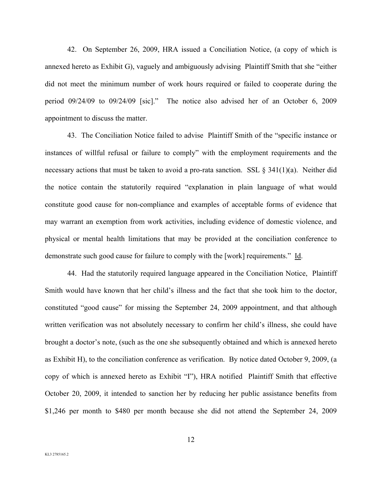42. On September 26, 2009, HRA issued a Conciliation Notice, (a copy of which is annexed hereto as Exhibit G), vaguely and ambiguously advising Plaintiff Smith that she "either did not meet the minimum number of work hours required or failed to cooperate during the period 09/24/09 to 09/24/09 [sic]." The notice also advised her of an October 6, 2009 appointment to discuss the matter.

 43. The Conciliation Notice failed to advise Plaintiff Smith of the "specific instance or instances of willful refusal or failure to comply" with the employment requirements and the necessary actions that must be taken to avoid a pro-rata sanction. SSL  $\S 341(1)(a)$ . Neither did the notice contain the statutorily required "explanation in plain language of what would constitute good cause for non-compliance and examples of acceptable forms of evidence that may warrant an exemption from work activities, including evidence of domestic violence, and physical or mental health limitations that may be provided at the conciliation conference to demonstrate such good cause for failure to comply with the [work] requirements." Id.

 44. Had the statutorily required language appeared in the Conciliation Notice, Plaintiff Smith would have known that her child's illness and the fact that she took him to the doctor, constituted "good cause" for missing the September 24, 2009 appointment, and that although written verification was not absolutely necessary to confirm her child's illness, she could have brought a doctor's note, (such as the one she subsequently obtained and which is annexed hereto as Exhibit H), to the conciliation conference as verification. By notice dated October 9, 2009, (a copy of which is annexed hereto as Exhibit "I"), HRA notified Plaintiff Smith that effective October 20, 2009, it intended to sanction her by reducing her public assistance benefits from \$1,246 per month to \$480 per month because she did not attend the September 24, 2009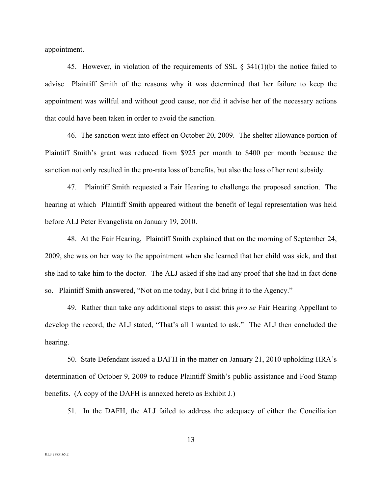appointment.

 45. However, in violation of the requirements of SSL § 341(1)(b) the notice failed to advise Plaintiff Smith of the reasons why it was determined that her failure to keep the appointment was willful and without good cause, nor did it advise her of the necessary actions that could have been taken in order to avoid the sanction.

 46. The sanction went into effect on October 20, 2009. The shelter allowance portion of Plaintiff Smith's grant was reduced from \$925 per month to \$400 per month because the sanction not only resulted in the pro-rata loss of benefits, but also the loss of her rent subsidy.

 47. Plaintiff Smith requested a Fair Hearing to challenge the proposed sanction. The hearing at which Plaintiff Smith appeared without the benefit of legal representation was held before ALJ Peter Evangelista on January 19, 2010.

 48. At the Fair Hearing, Plaintiff Smith explained that on the morning of September 24, 2009, she was on her way to the appointment when she learned that her child was sick, and that she had to take him to the doctor. The ALJ asked if she had any proof that she had in fact done so. Plaintiff Smith answered, "Not on me today, but I did bring it to the Agency."

 49. Rather than take any additional steps to assist this *pro se* Fair Hearing Appellant to develop the record, the ALJ stated, "That's all I wanted to ask." The ALJ then concluded the hearing.

 50. State Defendant issued a DAFH in the matter on January 21, 2010 upholding HRA's determination of October 9, 2009 to reduce Plaintiff Smith's public assistance and Food Stamp benefits. (A copy of the DAFH is annexed hereto as Exhibit J.)

51. In the DAFH, the ALJ failed to address the adequacy of either the Conciliation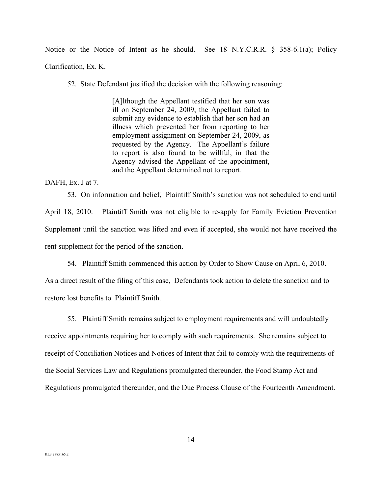Notice or the Notice of Intent as he should. See 18 N.Y.C.R.R. § 358-6.1(a); Policy Clarification, Ex. K.

52. State Defendant justified the decision with the following reasoning:

[A]lthough the Appellant testified that her son was ill on September 24, 2009, the Appellant failed to submit any evidence to establish that her son had an illness which prevented her from reporting to her employment assignment on September 24, 2009, as requested by the Agency. The Appellant's failure to report is also found to be willful, in that the Agency advised the Appellant of the appointment, and the Appellant determined not to report.

DAFH, Ex. J at 7.

 53. On information and belief, Plaintiff Smith's sanction was not scheduled to end until April 18, 2010. Plaintiff Smith was not eligible to re-apply for Family Eviction Prevention Supplement until the sanction was lifted and even if accepted, she would not have received the rent supplement for the period of the sanction.

54. Plaintiff Smith commenced this action by Order to Show Cause on April 6, 2010.

As a direct result of the filing of this case, Defendants took action to delete the sanction and to restore lost benefits to Plaintiff Smith.

55. Plaintiff Smith remains subject to employment requirements and will undoubtedly

receive appointments requiring her to comply with such requirements. She remains subject to receipt of Conciliation Notices and Notices of Intent that fail to comply with the requirements of the Social Services Law and Regulations promulgated thereunder, the Food Stamp Act and Regulations promulgated thereunder, and the Due Process Clause of the Fourteenth Amendment.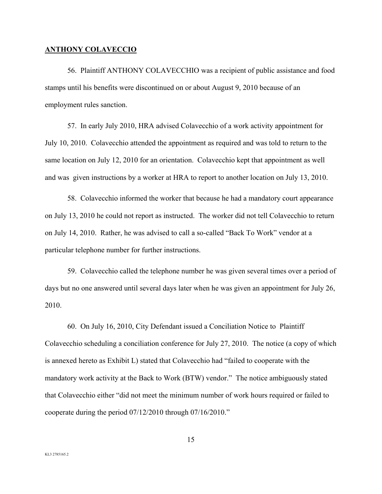#### **ANTHONY COLAVECCIO**

 56. Plaintiff ANTHONY COLAVECCHIO was a recipient of public assistance and food stamps until his benefits were discontinued on or about August 9, 2010 because of an employment rules sanction.

 57. In early July 2010, HRA advised Colavecchio of a work activity appointment for July 10, 2010. Colavecchio attended the appointment as required and was told to return to the same location on July 12, 2010 for an orientation. Colavecchio kept that appointment as well and was given instructions by a worker at HRA to report to another location on July 13, 2010.

 58. Colavecchio informed the worker that because he had a mandatory court appearance on July 13, 2010 he could not report as instructed. The worker did not tell Colavecchio to return on July 14, 2010. Rather, he was advised to call a so-called "Back To Work" vendor at a particular telephone number for further instructions.

 59. Colavecchio called the telephone number he was given several times over a period of days but no one answered until several days later when he was given an appointment for July 26, 2010.

 60. On July 16, 2010, City Defendant issued a Conciliation Notice to Plaintiff Colavecchio scheduling a conciliation conference for July 27, 2010. The notice (a copy of which is annexed hereto as Exhibit L) stated that Colavecchio had "failed to cooperate with the mandatory work activity at the Back to Work (BTW) vendor." The notice ambiguously stated that Colavecchio either "did not meet the minimum number of work hours required or failed to cooperate during the period 07/12/2010 through 07/16/2010."

15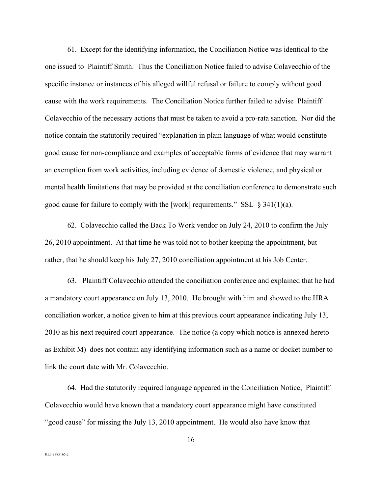61. Except for the identifying information, the Conciliation Notice was identical to the one issued to Plaintiff Smith. Thus the Conciliation Notice failed to advise Colavecchio of the specific instance or instances of his alleged willful refusal or failure to comply without good cause with the work requirements. The Conciliation Notice further failed to advise Plaintiff Colavecchio of the necessary actions that must be taken to avoid a pro-rata sanction. Nor did the notice contain the statutorily required "explanation in plain language of what would constitute good cause for non-compliance and examples of acceptable forms of evidence that may warrant an exemption from work activities, including evidence of domestic violence, and physical or mental health limitations that may be provided at the conciliation conference to demonstrate such good cause for failure to comply with the [work] requirements." SSL  $\S 341(1)(a)$ .

 62. Colavecchio called the Back To Work vendor on July 24, 2010 to confirm the July 26, 2010 appointment. At that time he was told not to bother keeping the appointment, but rather, that he should keep his July 27, 2010 conciliation appointment at his Job Center.

 63. Plaintiff Colavecchio attended the conciliation conference and explained that he had a mandatory court appearance on July 13, 2010. He brought with him and showed to the HRA conciliation worker, a notice given to him at this previous court appearance indicating July 13, 2010 as his next required court appearance. The notice (a copy which notice is annexed hereto as Exhibit M) does not contain any identifying information such as a name or docket number to link the court date with Mr. Colavecchio.

 64. Had the statutorily required language appeared in the Conciliation Notice, Plaintiff Colavecchio would have known that a mandatory court appearance might have constituted "good cause" for missing the July 13, 2010 appointment. He would also have know that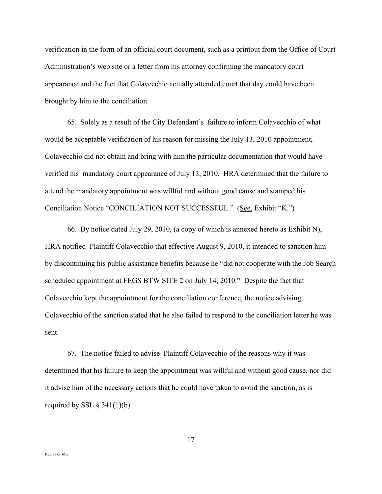verification in the form of an official court document, such as a printout from the Office of Court Administration's web site or a letter from his attorney confirming the mandatory court appearance and the fact that Colavecchio actually attended court that day could have been brought by him to the conciliation.

 65. Solely as a result of the City Defendant's failure to inform Colavecchio of what would be acceptable verification of his reason for missing the July 13, 2010 appointment, Colavecchio did not obtain and bring with him the particular documentation that would have verified his mandatory court appearance of July 13, 2010. HRA determined that the failure to attend the mandatory appointment was willful and without good cause and stamped his Conciliation Notice "CONCILIATION NOT SUCCESSFUL." (See, Exhibit "K.")

 66. By notice dated July 29, 2010, (a copy of which is annexed hereto as Exhibit N), HRA notified Plaintiff Colavecchio that effective August 9, 2010, it intended to sanction him by discontinuing his public assistance benefits because he "did not cooperate with the Job Search scheduled appointment at FEGS BTW SITE 2 on July 14, 2010." Despite the fact that Colavecchio kept the appointment for the conciliation conference, the notice advising Colavecchio of the sanction stated that he also failed to respond to the conciliation letter he was sent.

 67. The notice failed to advise Plaintiff Colavecchio of the reasons why it was determined that his failure to keep the appointment was willful and without good cause, nor did it advise him of the necessary actions that he could have taken to avoid the sanction, as is required by SSL  $\S$  341(1)(b).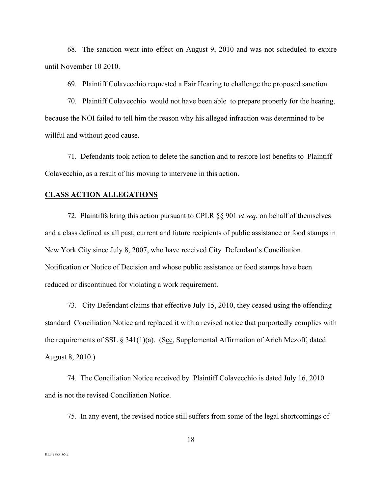68. The sanction went into effect on August 9, 2010 and was not scheduled to expire until November 10 2010.

69. Plaintiff Colavecchio requested a Fair Hearing to challenge the proposed sanction.

 70. Plaintiff Colavecchio would not have been able to prepare properly for the hearing, because the NOI failed to tell him the reason why his alleged infraction was determined to be willful and without good cause.

 71. Defendants took action to delete the sanction and to restore lost benefits to Plaintiff Colavecchio, as a result of his moving to intervene in this action.

#### **CLASS ACTION ALLEGATIONS**

 72. Plaintiffs bring this action pursuant to CPLR §§ 901 *et seq.* on behalf of themselves and a class defined as all past, current and future recipients of public assistance or food stamps in New York City since July 8, 2007, who have received City Defendant's Conciliation Notification or Notice of Decision and whose public assistance or food stamps have been reduced or discontinued for violating a work requirement.

 73. City Defendant claims that effective July 15, 2010, they ceased using the offending standard Conciliation Notice and replaced it with a revised notice that purportedly complies with the requirements of SSL  $\S 341(1)(a)$ . (See, Supplemental Affirmation of Arieh Mezoff, dated August 8, 2010.)

 74. The Conciliation Notice received by Plaintiff Colavecchio is dated July 16, 2010 and is not the revised Conciliation Notice.

75. In any event, the revised notice still suffers from some of the legal shortcomings of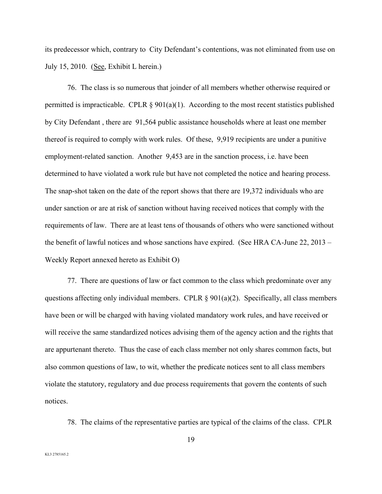its predecessor which, contrary to City Defendant's contentions, was not eliminated from use on July 15, 2010. (See, Exhibit L herein.)

 76. The class is so numerous that joinder of all members whether otherwise required or permitted is impracticable. CPLR  $\S 901(a)(1)$ . According to the most recent statistics published by City Defendant , there are 91,564 public assistance households where at least one member thereof is required to comply with work rules. Of these, 9,919 recipients are under a punitive employment-related sanction. Another 9,453 are in the sanction process, i.e. have been determined to have violated a work rule but have not completed the notice and hearing process. The snap-shot taken on the date of the report shows that there are 19,372 individuals who are under sanction or are at risk of sanction without having received notices that comply with the requirements of law. There are at least tens of thousands of others who were sanctioned without the benefit of lawful notices and whose sanctions have expired. (See HRA CA-June 22, 2013 – Weekly Report annexed hereto as Exhibit O)

 77. There are questions of law or fact common to the class which predominate over any questions affecting only individual members. CPLR  $\S 901(a)(2)$ . Specifically, all class members have been or will be charged with having violated mandatory work rules, and have received or will receive the same standardized notices advising them of the agency action and the rights that are appurtenant thereto. Thus the case of each class member not only shares common facts, but also common questions of law, to wit, whether the predicate notices sent to all class members violate the statutory, regulatory and due process requirements that govern the contents of such notices.

78. The claims of the representative parties are typical of the claims of the class. CPLR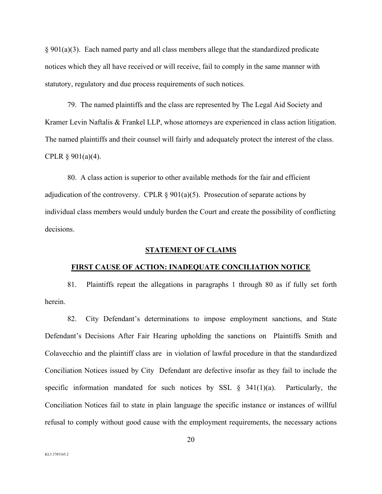§ 901(a)(3). Each named party and all class members allege that the standardized predicate notices which they all have received or will receive, fail to comply in the same manner with statutory, regulatory and due process requirements of such notices.

 79. The named plaintiffs and the class are represented by The Legal Aid Society and Kramer Levin Naftalis & Frankel LLP, whose attorneys are experienced in class action litigation. The named plaintiffs and their counsel will fairly and adequately protect the interest of the class. CPLR  $\S 901(a)(4)$ .

 80. A class action is superior to other available methods for the fair and efficient adjudication of the controversy. CPLR  $\S 901(a)(5)$ . Prosecution of separate actions by individual class members would unduly burden the Court and create the possibility of conflicting decisions.

### **STATEMENT OF CLAIMS**

### **FIRST CAUSE OF ACTION: INADEQUATE CONCILIATION NOTICE**

 81. Plaintiffs repeat the allegations in paragraphs 1 through 80 as if fully set forth herein.

 82. City Defendant's determinations to impose employment sanctions, and State Defendant's Decisions After Fair Hearing upholding the sanctions on Plaintiffs Smith and Colavecchio and the plaintiff class are in violation of lawful procedure in that the standardized Conciliation Notices issued by City Defendant are defective insofar as they fail to include the specific information mandated for such notices by SSL  $\S$  341(1)(a). Particularly, the Conciliation Notices fail to state in plain language the specific instance or instances of willful refusal to comply without good cause with the employment requirements, the necessary actions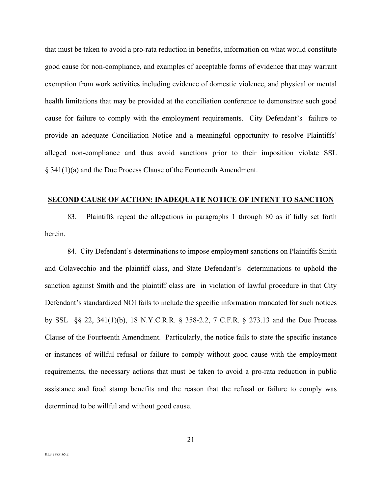that must be taken to avoid a pro-rata reduction in benefits, information on what would constitute good cause for non-compliance, and examples of acceptable forms of evidence that may warrant exemption from work activities including evidence of domestic violence, and physical or mental health limitations that may be provided at the conciliation conference to demonstrate such good cause for failure to comply with the employment requirements. City Defendant's failure to provide an adequate Conciliation Notice and a meaningful opportunity to resolve Plaintiffs' alleged non-compliance and thus avoid sanctions prior to their imposition violate SSL § 341(1)(a) and the Due Process Clause of the Fourteenth Amendment.

### **SECOND CAUSE OF ACTION: INADEQUATE NOTICE OF INTENT TO SANCTION**

 83. Plaintiffs repeat the allegations in paragraphs 1 through 80 as if fully set forth herein.

 84. City Defendant's determinations to impose employment sanctions on Plaintiffs Smith and Colavecchio and the plaintiff class, and State Defendant's determinations to uphold the sanction against Smith and the plaintiff class are in violation of lawful procedure in that City Defendant's standardized NOI fails to include the specific information mandated for such notices by SSL §§ 22, 341(1)(b), 18 N.Y.C.R.R. § 358-2.2, 7 C.F.R. § 273.13 and the Due Process Clause of the Fourteenth Amendment. Particularly, the notice fails to state the specific instance or instances of willful refusal or failure to comply without good cause with the employment requirements, the necessary actions that must be taken to avoid a pro-rata reduction in public assistance and food stamp benefits and the reason that the refusal or failure to comply was determined to be willful and without good cause.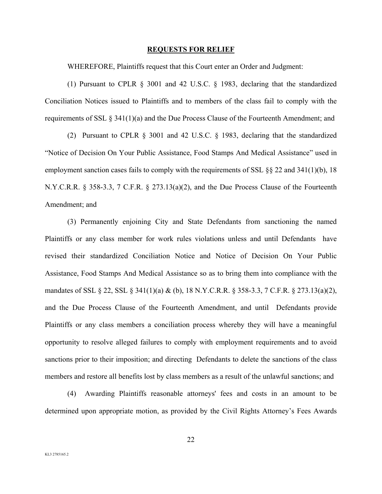#### **REQUESTS FOR RELIEF**

WHEREFORE, Plaintiffs request that this Court enter an Order and Judgment:

(1) Pursuant to CPLR § 3001 and 42 U.S.C. § 1983, declaring that the standardized Conciliation Notices issued to Plaintiffs and to members of the class fail to comply with the requirements of SSL § 341(1)(a) and the Due Process Clause of the Fourteenth Amendment; and

(2) Pursuant to CPLR § 3001 and 42 U.S.C. § 1983, declaring that the standardized "Notice of Decision On Your Public Assistance, Food Stamps And Medical Assistance" used in employment sanction cases fails to comply with the requirements of SSL  $\S$  22 and 341(1)(b), 18 N.Y.C.R.R. § 358-3.3, 7 C.F.R. § 273.13(a)(2), and the Due Process Clause of the Fourteenth Amendment; and

(3) Permanently enjoining City and State Defendants from sanctioning the named Plaintiffs or any class member for work rules violations unless and until Defendants have revised their standardized Conciliation Notice and Notice of Decision On Your Public Assistance, Food Stamps And Medical Assistance so as to bring them into compliance with the mandates of SSL § 22, SSL § 341(1)(a) & (b), 18 N.Y.C.R.R. § 358-3.3, 7 C.F.R. § 273.13(a)(2), and the Due Process Clause of the Fourteenth Amendment, and until Defendants provide Plaintiffs or any class members a conciliation process whereby they will have a meaningful opportunity to resolve alleged failures to comply with employment requirements and to avoid sanctions prior to their imposition; and directing Defendants to delete the sanctions of the class members and restore all benefits lost by class members as a result of the unlawful sanctions; and

(4) Awarding Plaintiffs reasonable attorneys' fees and costs in an amount to be determined upon appropriate motion, as provided by the Civil Rights Attorney's Fees Awards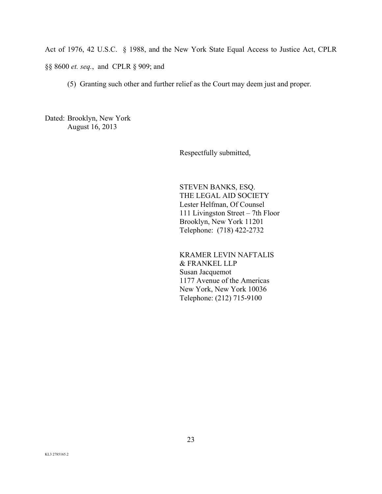Act of 1976, 42 U.S.C. § 1988, and the New York State Equal Access to Justice Act, CPLR

§§ 8600 *et. seq.*, and CPLR § 909; and

(5) Granting such other and further relief as the Court may deem just and proper.

Dated: Brooklyn, New York August 16, 2013

Respectfully submitted,

 STEVEN BANKS, ESQ. THE LEGAL AID SOCIETY Lester Helfman, Of Counsel 111 Livingston Street – 7th Floor Brooklyn, New York 11201 Telephone: (718) 422-2732

 KRAMER LEVIN NAFTALIS & FRANKEL LLP Susan Jacquemot 1177 Avenue of the Americas New York, New York 10036 Telephone: (212) 715-9100